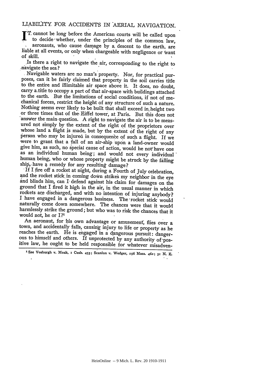## LIABIIITY FOR ACCIDENTS IN AERIAL NAVIGATION.

T. cannot be long before the American courts will be called upon to decide whether, under the principles of the common law, aeronauts, who cause damage by a. descent to the earth, are liable at all events, or only when chargeable with negligence or want of skill.

Is there a right to navigate the air, corresponding to the right to navigate the sea?

. Navigable waters are no man's property. Nor, for practical purposes, can it be fairly claimed that property in the soil carries title to the entire and illimitable air space above it. It does, no doubt, carry a-title to occupy a part of that air-space with buildings attached to the earth. But the limitations of social conditions, if not of mechanical forces, restrict the height of any structure of such a nature. Nothing seems ever likely to be built that shall exceed in height two or three times that of the. Eiffel tower, at Paris. But this does not answer the main question. A right to navigate the air is to be measured not simply by the extent of the right of the proprietors over whose land a flight is made, but by the extent of the right of any person who may be injured in consequene of such a flight. If we 'were to grant that a fall of an air-ship upon a land-owner would give him, as such, no special cause of action, would he *noV* have one as an individual human being; and would not every individual

human being, who or whose property might be struck by the falling<br>ship, have a remedy for any resulting damage?<br>If I fire off a rocket at night, during a Fourth of July celebration,<br>and the rocket stick in coming down stri ground that I fired it high in the air, in the usual manner in which rockets are discharged, and with no intention of injuring anybody? I have engaged in a dangerous business. The rocket stick would naturally come down somewhere. The chances were that it would harmlessly strike the ground; but who was to risk the chances that it would not, he or I?'

An aeronaut, for his own advantage or amusement, flies over a town, and accidentally falls, causing injury to life or property as he reaches the earth. He is engaged in a dangerous pursuit: dangerous to himself and others. If unprotected by any authority of'pos- itive law, he ought to be held responsible for whatever misadven-

<sup>&#</sup>x27;S **ee Vosburgh v. Moak, I Cush. 453;** Scanlon **v.** Wedger, **z56 Mass. 462; 3 N.** 1.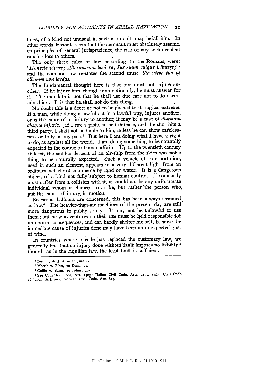tures, of a kind not unusual in such a pursuit, may befall him. In other words, it would seem that the aeronaut must absolutely assume, on principles of general jurisprudence, the risk of any such accident causing loss to others.

The only three rules of law, according to the Romans, were: "Honeste vivere; Alterum non laedere; Jus suum cuique tribuere;"<sup>2</sup> and the common law re-states the second thus: *Sic utere tuo ut alienurm non laedas.*

The fundamental thought here is that one must not injure another. If he injure him, though unintentionally, he must answer for it. The mandate is not that he shall use due care not to do a certain thing. It is that he. shall not do this thing.

No doubt this is a doctrine not to be pushed. to its logical extreme.. If a man, while doing a lawful act in a lawful way, injures another, or is the cause of an injury to another, it may be a case of *damnum absque injuria.* If, I fire a pistol in self-defense, and the shot hits a third party, I shall not be liable to him, unless he can show carelessness or folly on my part.<sup>3</sup> But here I am doing what I have a right to do, as against all the world. I am doing something to be naturally expected in the course of human affairs. Up to the twentieth qentury. at least, the sudden descent of an air-ship from the skies was not a thing to be naturally expected. Such a vehicle of transportation, used in such an element, appears in a very- different light from an ordinary vehiele of commerce by land or water. It is a dangerous object, of a kind not fully 'subject to human control. If somebody must suffei from a collision with it, it should not be any unfortunate individual whom it chances to strike, but rather the person who, put the cause of injury in motion.

So far as balloons are concerned, this has been always assumed as law.4 The heavier-than-air machines of the present day are still more dangerous to public safety. It may not be unlawful to use them; but he who ventures on their use must be held responsible for its natural consequences, and can hardly shelter himself, because- the immediate cause of injuries done may have heen an unexpected gust of wind.

In countries where a code has replaced the customary law, we generally find that an injury done without fault imposes no liability,<sup>5</sup> though, as in the Aquilian law, the least fault is sufficient.

**<sup>2</sup> Inst.** I, **de Justitia et Jure I.**

**sMorris v. Platt, 32 Conn. 75.**

**<sup>&#</sup>x27;** Guille **v.** Swan, **x9 Johns. 38r.**

<sup>5</sup> **See Code Napoleon, Art. 1383;** Italian Civil **Code, Arts. zz5r,** 1s; **Civil Code of Japan, Art. 709; German Civil Code, Art. 823.**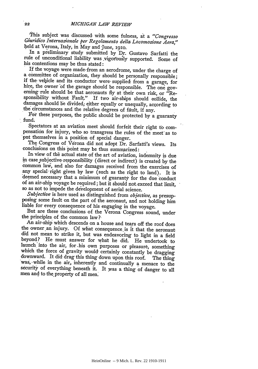T-his subject was discussed with some fulness, at a "Congresso *Giuridico Internazioinale per Regolamento della Locomozione Aera,"* held at Verona, Italy, in May and June, 1910.

In a preliminary study submitted by Dr. Gustavo Sarfatti the rule of unconditional liability was vigorously supported. Some of his contentions may be thus stated:

If the voyage were made-from an aerodrome, under the charge of a committee of organization, they should be personally responsible; if the vehicle and its conductor were supplied from a garage, for<br>hire, the owner of the garage should be responsible. The one gov-<br>erning rule should be that aeronauts fly at their own risk, or "Responsibility without Fault." If two air-ships should collide, the damages should be divided; either equally or unequally, according to the circumstances and the relative degrees of fault, if any.

For these purposes, the public should be protected by a guaranty fund.

Spectators at an aviation meet should forfeit their right to compensation for injury, who so transgress the rules of the meet as to put themselves in a position of special danger.

The Congress of Verona did not adopt Dr. Sarfatti's views. Its conclusions on this point may be thus summarized:

In view of the actual state of the art of aviation, indemnity is due in case subjective- responsibility (direct or indirect) is created, **by** the common law, and also for damages received from the exercises of any special-right given by law (such as the right to land). It is deemed necessary that a minimum of guaranty for the due conduct of an air-ship voyage be required; but it should not. exceed that limit, so as not to impede the development of aerial science.<br>Subjective is here used as distinguished from objective, as presup-

posing some fault on the part of the aeronaut, and not holding him liable for every consequence of his engaging in the voyage.

But are these conclusions of the Verona Congress sound, under the principles of the common law?.

An air-ship which descends on a house and tears off the roof does the owner an injury. Of what consequence is it that the aeronaut did not mean to strike it, but was endeavoring to light in a field beyond? He must answer for what he did. He undertook to launch into the air, for-his own purposes or pleasure, something which the force of gravity would certainly constantly be dragging downward. It did-drag this thing down upon this roof. The thing was, .while in the air, inherently and continually a menace to the security of everything beneath it. It was a thing of danger to all men and to the property of all men.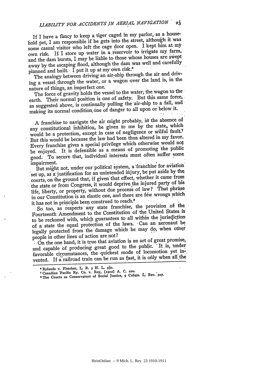If I have a fancy to keep a tiger caged in my parlor, as a household pet, I am responsible if he gets into the street, although it was some casual visitor who left the cage door open. I kept him at my own risk. If I store up water in a reservoir to irrigate my farm, and the dam bursts, I may be liable to those whose houses are swept away by the escaping flood, although the dam was well and carefully planned and built. I put it up at my own risk.

The analogy between driving an air-ship through the air and driving a vessel through the water, or a wagon over the land is, in the nature of things, an imperfect one.

The force of gravity holds the vessel to the water; the wagon to the earth. Their normal position is one of safety. But this same fotce, as suggested above, is continually pulling the air-ship to a fall, and making its normal condition one of danger to all upon or below it.

A franchise to navigate the air might probably, in the absence of any constitutional inhibition, be given to me by the state, which would be a protection, except in case of negligence or wilful fault.7 But this would be because the law had been thus altered in my favor. Fvery franchise gives a special -privilege which otherwise would not be enjoyed. It is defensible as a means of promoting the public good. To secure that, individual interests must often suffer some impairment.

But might not, under our political system, a franchise for aviation set up, as a justification for an unintended injury, be put aside by the courts, on the ground that, if given that effect, whether it came from the state or from Congress, it would deprive the injured party of his life, liberty, or property, without due process of law? That phrase in our Constitution is an elastic one, and there are few wrongs which it has not in principle been construed to reach.<sup>8</sup>

So too, as respects any state franchise, the provision of the Fourteenth Amendment to the Constitution of the United States is to be reckoned with, which guarantees to all within the jurisdiction of a state the equal protection of the laws. -Can an aeronaut be legally protected from the damage which he may do, when other people in other lines of action are not?

- On the one hand, it is true that aviation is an art of great promise, and capable of producing great good to the public. It is, under favorable circumstances, the quickest mode of locomotion yet invented. If a railroad train can be run as fast, it is only when all the

**<sup>0</sup> Rylands v. Fletcher, I,. R. 3 H. L. 350.**

**Canadian 'Pacific Ry. Co. v. Roy, Ex9o2] A. C. 220. .**

<sup>8</sup> The Courts as Conservators of Social Justice, 9 Colum. *L*<sub>2</sub> Rev. 507.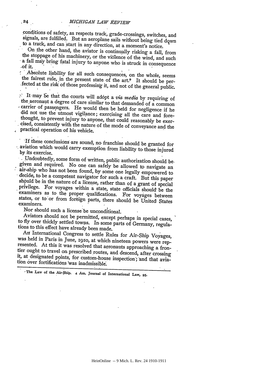conditions of safety, as respects track, grade-crossings, switches, and signals, are fulfilled. But an aeroplane sails without being tied dqwn to a track, and can start in any direction, at a moment's notice. On the other

the stoppage of his machinery, or the violence of the wind, and such on the aviator is struck in consequence of it.<br> **Continuol** is mathematic of it.<br> **Continuol** mathematic institute in the wind, seems<br> **CONTINUOL** may be struck in consequence **.** On the whole, seems

the fairest rule, in the present state of the art.<sup>9</sup> It should be per-<br>fected at the risk of those professing it, and not of the general public.

 $\mathcal{F}$  It may be that the courts will adopt a *via media* by requiring of<br>the aeronaut a degree of care similar to that demanded of a common<br>carrier of passengers. He would then be held for negligence if he<br>did not use

If these conclusions are sound, no franchise should be granted for aviation which would carry exemption from liability to those injured by its exercise.<br>Undoubtedly, some form of written, public authorization should be.

given and required. No one can safely be allowed to navigate an air-ship who has not been found, by some one legally empowered to decide, to be a competent navigator for such a craft. But this paper should be in the nature examiners.

Nor should such a license be unconditional.<br>Aviators should not be permitted, except perhaps in special cases,

to fly over thickly settled towns. In some parts of Germany, regulations to this effect have already been made.<br>An International Congress to settle Rules for Air-Ship Voyages, was held in Paris in June, 1910, at which nine

**-The Law of the Air-Ship.** 4 **Am. Journal of International Law, 95.**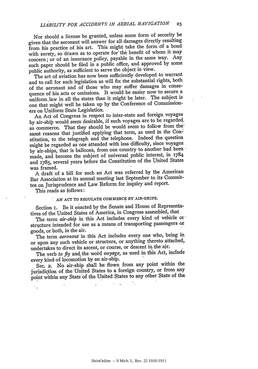Nor should a license be granted, unless some form of security be given that the aeronaut will answer for all damages directly resulting from his practice of his art. This might take the form *6f* a bond with surety, so drawn as to operate for the benefit of whom it may concern; or of an insurance policy, payable in the same way. Any such paper should be filed in a public office, and approved by some public authority, as sufficient to serve the object in view.

The art of aviation has now been sufficiently developed to warrant and to call for such legislation as will fix the substantial rights, both of the aeronaut and of those who may suffer damages in consequence of his acts or omissions. It would be easier now to secure a uniform.law in all the states than it might be later. The subject is one that might well be taken up by the Conference of Commissioners on Uniform State Legislation.

An Act of Congress in respect to inter-state and foreign voyages by air-ship would seem desirable, if such voyages are to be regarded. as commerce. That they should be would seem to follow from the same reasons that justified applying that term, as used in the Constitution, to the telegraph and the' telephone. Indeed the question might be regarded as one attended with less difficulty, since voyages by air-ships, that is balloons, from one country to another had been made, and become the subject of universal public interest, in **<sup>1784</sup>** and 1785, several years before the Constitution of the United States was framed.

A draft of a bill for such an Act was referred by the American Bar Association at its annual meeting last September to its Committee on jurisprudence and Law Reform for inquiry and report.

This reads as follows:

## AN ACT TO REGULATE COMMERCE BY AIR-SHIPS.

Section I. Be it enacted by the Senate and House of Representatives of the United States of America, in Congress assembled, that

The term air-ship in this Act includes every kind of vehicle or structure intended for use as a means of transporting passengers or goods, or both, in the air.

The term *aeronait* in this Act includes every one who, being in or upon any such vehicle or structure, or anything thereto attached, undertakes to direct its ascent, or course, or descent in.the air.

The verb *to fly* and the word *voyage*, as used in this Act, include every kind of locomotion by an air-ship.

Sec. 2. No air-ship shall be flown from any point within the jurisdiction of the United States to a foreign country, or from any point within any State of the United- States to any other State of the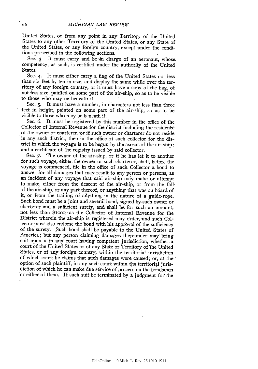United States, or from any point in any Territory of the United States to any other Territory of the United States, or any State of the United States, or any foreign country, except under the conditions prescribed in the following sections.

Sec. 3. It must carry and be in charge of an aeronaut, whose. competency, as such, is certified under the authority of the United States.

Sec. 4. It must either carry a flag of the United States not less than six feet by ten in size, and display the same while over the territory of any foreign country, or it must have a copy of the flag, of not less size, pairted on some part of the air-ship, so as to be visible to those who may be beneath it.

Sec. **5.** It must have a number, in characters not less than three feet in height, painted on some part of the air-ship, so as to be visible to those who may be beneath it.

Sec. 6. It must be registered by this nuniber in the office of the Collector of Internal Revenue for thd district including the residence of the owner or charterer, or if such owner or charterer do not reside in any such district, then in the office of such collector for the district in which the voyage is to be begun by the ascent of the air-ship; and a certificate of the registry issued by said collector.

Sec. 7. The owner of the air-ship, or if he has let it to another for such voyage, either the owner or such charterer, shall, before the voyage is commenced, file in the office of such Collector a bond to answer. for all damages that may result to any person or persons, as an incident of any voyage that said air-ship may make or attempt to make, either from the descent of the air-ship, or from the fallof the air-ship, or any part thereof, or anything that was on board of it, or from the trailing of aAything in the nature of a guide-rope. Such bond must be a joint and severil bond, signed by- such owner or charterer and a sufficient surety, and shall be for such an amount, not less than \$iooo,-as the Collector of Internal Revenue for the District wherein the air-ship is registered may order, and such Collector must also endorse the bond with his approval of the sufficiency of the surety. Such bond shall be payable to the United States of America; but any person claiming damages thereunder may bring suit upon it in any court having competent jurisdiction, whether.a court of the United States or of any State or Territory of'the Ufiited States, or of any foreign country, within the territorial jurisdiction of which .court he claims that such damages were caused; or, at the' option of such plaintiff, in any such court within the territorial jurisdiction of which he can make due service of process on the bondsmen or either of them. If such suit be terminated'by a judgment for' the

 $26$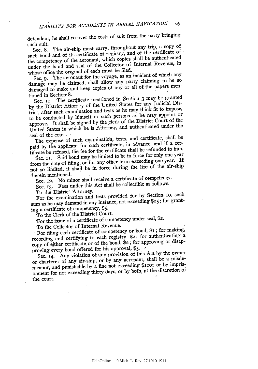defendant, he shall recover the costs of suit from the party bringing such suit.

Sec. **8.** The air-ship must carry, throughout any trip, a copy of such bond and of its certificate of registry, and of the certificate of the competency of the aeronaut, which copies shall be authenticated under the hand and scal of the Collector of Internal Revenue, in whose office the original of each must be filed.

Sec. 9. The aeronaut for the voyage, as an incident of which any damage may be claimed, shall allow any party claiming to be so damaged to make and keep copies of any or all of the papers mentioned in Section- **8.**

Sec. io. The certificate mentioned in Section 3 may be granted by the District Attorr **-y** of the United States for any Judicial District, after such examination and tests as he may think fit to impose, to be conducted by himself or such persons as he may appoint or approve. It shall be signed by the clerk of the District Court of the United States in which he is Attorney, and authenticated under the seal of the court. **-**

The expense of such examination, tests, and certificate, shall be paid by the applicant for such certificate, in advance, and if a certificate be refused, the fee for the certificate shall be refunded to him.

Sec. II. Said bond may be limited to be in force for only one year from the date-of filing, or for any other term exceeding one year. If not so limited, it shall be in force during the life of the air-ship therein mentioned.

Sec. **12.** No minor shall receive a certificate of competency.

- Sec. 13. Fees under this Act shall be collectible as follows.

To the District Attorney.

For the examination and tests provided for by Section IO, such sum as he may demand in any instance, not exceeding **\$25;** for granting a certificate of competency, **\$5.**

*'To* the Clerk of the District Court.

'For the issue of a certificate of competency under seal, \$2.

To the Collector of Internal Revenue.

For filing each certificate of competency or bond, \$1; for making, recording and certifying to each registry, \$2; for authenticating a copy of either certificate, or. of the bond, **\$2 ;** for approving or disapproving every bond- offered for his approval, **\$5. -**

Sec. 14. Any violation of any provision of this Act by the owner or charterer of any air-ship, or by any aeronaut, shall be a misdemeanor, and punishable by a fine not exceeding \$IOOO or by imprisonment for not exceeding thirty days, or by both, at the discretion of the court.